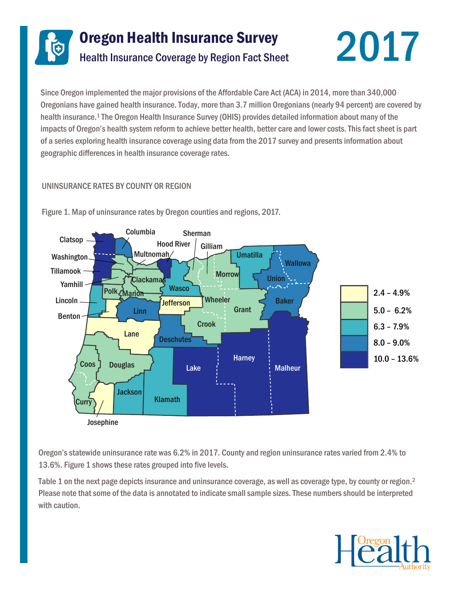



Since Oregon implemented the major provisions of the Affordable Care Act (ACA) in 2014, more than 340,000 Oregonians have gained health insurance. Today, more than 3.7 million Oregonians (nearly 94 percent) are covered by health insurance.<sup>1</sup> The Oregon Health Insurance Survey (OHIS) provides detailed information about many of the impacts of Oregon's health system reform to achieve better health, better care and lower costs. This fact sheet is part of a series exploring health insurance coverage using data from the 2017 survey and presents information about geographic differences in health insurance coverage rates.

# UNINSURANCE RATES BY COUNTY OR REGION



Figure 1. Map of uninsurance rates by Oregon counties and regions, 2017.

Oregon's statewide uninsurance rate was 6.2% in 2017. County and region uninsurance rates varied from 2.4% to 13.6%. Figure 1 shows these rates grouped into five levels.

Table 1 on the next page depicts insurance and uninsurance coverage, as well as coverage type, by county or region.<sup>2</sup> Please note that some of the data is annotated to indicate small sample sizes. These numbers should be interpreted with caution.

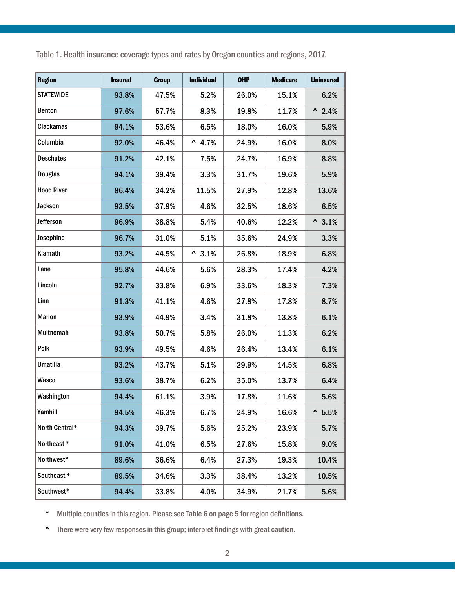Table 1. Health insurance coverage types and rates by Oregon counties and regions, 2017.

| <b>Region</b>     | <b>Insured</b> | <b>Group</b> | Individual     | <b>OHP</b> | <b>Medicare</b> | <b>Uninsured</b> |
|-------------------|----------------|--------------|----------------|------------|-----------------|------------------|
| <b>STATEWIDE</b>  | 93.8%          | 47.5%        | 5.2%           | 26.0%      | 15.1%           | 6.2%             |
| Benton            | 97.6%          | 57.7%        | 8.3%           | 19.8%      | 11.7%           | $^{\sim}$ 2.4%   |
| <b>Clackamas</b>  | 94.1%          | 53.6%        | 6.5%           | 18.0%      | 16.0%           | 5.9%             |
| Columbia          | 92.0%          | 46.4%        | $^{\sim}$ 4.7% | 24.9%      | 16.0%           | 8.0%             |
| <b>Deschutes</b>  | 91.2%          | 42.1%        | 7.5%           | 24.7%      | 16.9%           | 8.8%             |
| <b>Douglas</b>    | 94.1%          | 39.4%        | 3.3%           | 31.7%      | 19.6%           | 5.9%             |
| <b>Hood River</b> | 86.4%          | 34.2%        | 11.5%          | 27.9%      | 12.8%           | 13.6%            |
| Jackson           | 93.5%          | 37.9%        | 4.6%           | 32.5%      | 18.6%           | 6.5%             |
| Jefferson         | 96.9%          | 38.8%        | 5.4%           | 40.6%      | 12.2%           | $^{\sim}3.1\%$   |
| Josephine         | 96.7%          | 31.0%        | 5.1%           | 35.6%      | 24.9%           | 3.3%             |
| Klamath           | 93.2%          | 44.5%        | $^{\sim}3.1\%$ | 26.8%      | 18.9%           | 6.8%             |
| Lane              | 95.8%          | 44.6%        | 5.6%           | 28.3%      | 17.4%           | 4.2%             |
| Lincoln           | 92.7%          | 33.8%        | 6.9%           | 33.6%      | 18.3%           | 7.3%             |
| Linn              | 91.3%          | 41.1%        | 4.6%           | 27.8%      | 17.8%           | 8.7%             |
| <b>Marion</b>     | 93.9%          | 44.9%        | 3.4%           | 31.8%      | 13.8%           | 6.1%             |
| Multnomah         | 93.8%          | 50.7%        | 5.8%           | 26.0%      | 11.3%           | 6.2%             |
| Polk              | 93.9%          | 49.5%        | 4.6%           | 26.4%      | 13.4%           | 6.1%             |
| <b>Umatilla</b>   | 93.2%          | 43.7%        | 5.1%           | 29.9%      | 14.5%           | 6.8%             |
| Wasco             | 93.6%          | 38.7%        | 6.2%           | 35.0%      | 13.7%           | 6.4%             |
| Washington        | 94.4%          | 61.1%        | 3.9%           | 17.8%      | 11.6%           | 5.6%             |
| Yamhill           | 94.5%          | 46.3%        | 6.7%           | 24.9%      | 16.6%           | $^{\sim}$ 5.5%   |
| North Central*    | 94.3%          | 39.7%        | 5.6%           | 25.2%      | 23.9%           | 5.7%             |
| Northeast *       | 91.0%          | 41.0%        | 6.5%           | 27.6%      | 15.8%           | 9.0%             |
| Northwest*        | 89.6%          | 36.6%        | 6.4%           | 27.3%      | 19.3%           | 10.4%            |
| Southeast *       | 89.5%          | 34.6%        | 3.3%           | 38.4%      | 13.2%           | 10.5%            |
| Southwest*        | 94.4%          | 33.8%        | 4.0%           | 34.9%      | 21.7%           | 5.6%             |

\* Multiple counties in this region. Please see Table 6 on page 5 for region definitions.

^ There were very few responses in this group; interpret findings with great caution.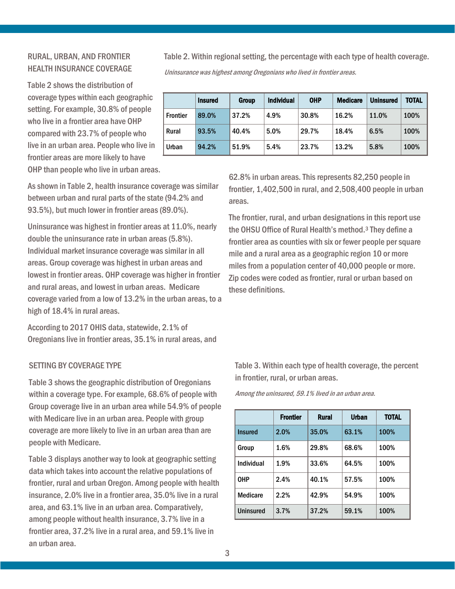## RURAL, URBAN, AND FRONTIER HEALTH INSURANCE COVERAGE

Table 2 shows the distribution of coverage types within each geographic setting. For example, 30.8% of people who live in a frontier area have OHP compared with 23.7% of people who live in an urban area. People who live in frontier areas are more likely to have OHP than people who live in urban areas.

As shown in Table 2, health insurance coverage was similar between urban and rural parts of the state (94.2% and 93.5%), but much lower in frontier areas (89.0%).

Uninsurance was highest in frontier areas at 11.0%, nearly double the uninsurance rate in urban areas (5.8%). Individual market insurance coverage was similar in all areas. Group coverage was highest in urban areas and lowest in frontier areas. OHP coverage was higher in frontier and rural areas, and lowest in urban areas. Medicare coverage varied from a low of 13.2% in the urban areas, to a high of 18.4% in rural areas.

According to 2017 OHIS data, statewide, 2.1% of Oregonians live in frontier areas, 35.1% in rural areas, and

### SETTING BY COVERAGE TYPE

Table 3 shows the geographic distribution of Oregonians within a coverage type. For example, 68.6% of people with Group coverage live in an urban area while 54.9% of people with Medicare live in an urban area. People with group coverage are more likely to live in an urban area than are people with Medicare.

Table 3 displays another way to look at geographic setting data which takes into account the relative populations of frontier, rural and urban Oregon. Among people with health insurance, 2.0% live in a frontier area, 35.0% live in a rural area, and 63.1% live in an urban area. Comparatively, among people without health insurance, 3.7% live in a frontier area, 37.2% live in a rural area, and 59.1% live in an urban area.

Table 2. Within regional setting, the percentage with each type of health coverage. Uninsurance was highest among Oregonians who lived in frontier areas.

|                 | <b>Insured</b> | <b>Group</b> | <b>Individual</b> | <b>OHP</b> | <b>Medicare</b> | <b>Uninsured</b> | <b>TOTAL</b> |
|-----------------|----------------|--------------|-------------------|------------|-----------------|------------------|--------------|
| <b>Frontier</b> | 89.0%          | 37.2%        | 4.9%              | 30.8%      | 16.2%           | 11.0%            | 100%         |
| Rural           | 93.5%          | 40.4%        | 5.0%              | 29.7%      | 18.4%           | 6.5%             | 100%         |
| Urban           | 94.2%          | 51.9%        | 5.4%              | 23.7%      | 13.2%           | 5.8%             | 100%         |
|                 |                |              |                   |            |                 |                  |              |

62.8% in urban areas. This represents 82,250 people in frontier, 1,402,500 in rural, and 2,508,400 people in urban areas.

The frontier, rural, and urban designations in this report use the OHSU Office of Rural Health's method.<sup>3</sup> They define a frontier area as counties with six or fewer people per square mile and a rural area as a geographic region 10 or more miles from a population center of 40,000 people or more. Zip codes were coded as frontier, rural or urban based on these definitions.

Table 3. Within each type of health coverage, the percent in frontier, rural, or urban areas.

Among the uninsured, 59.1% lived in an urban area.

|                 | <b>Frontier</b> | <b>Rural</b> | Urban | <b>TOTAL</b> |
|-----------------|-----------------|--------------|-------|--------------|
| <b>Insured</b>  | 2.0%            | 35.0%        | 63.1% | 100%         |
| Group           | 1.6%            | 29.8%        | 68.6% | 100%         |
| Individual      | 1.9%            | 33.6%        | 64.5% | 100%         |
| <b>OHP</b>      | 2.4%            | 40.1%        | 57.5% | 100%         |
| <b>Medicare</b> | 2.2%            | 42.9%        | 54.9% | 100%         |
| Uninsured       | 3.7%            | 37.2%        | 59.1% | 100%         |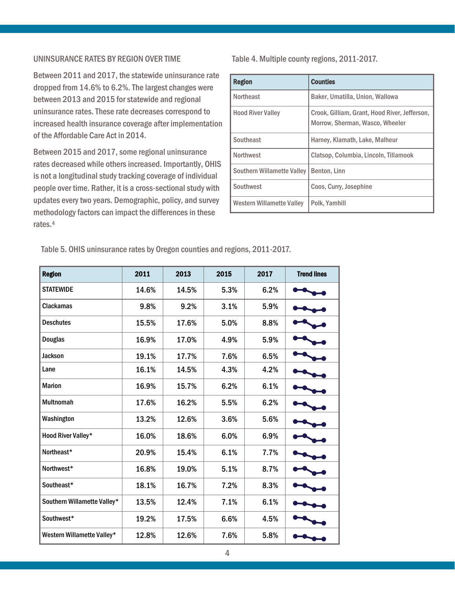### UNINSURANCE RATES BY REGION OVER TIME

Between 2011 and 2017, the statewide uninsurance rate dropped from 14.6% to 6.2%. The largest changes were between 2013 and 2015 for statewide and regional uninsurance rates. These rate decreases correspond to increased health insurance coverage after implementation of the Affordable Care Act in 2014.

Between 2015 and 2017, some regional uninsurance rates decreased while others increased. Importantly, OHIS is not a longitudinal study tracking coverage of individual people over time. Rather, it is a cross-sectional study with updates every two years. Demographic, policy, and survey methodology factors can impact the differences in these rates.<sup>4</sup>

Table 4. Multiple county regions, 2011-2017.

| <b>Region</b>                    | <b>Counties</b>                                                                  |
|----------------------------------|----------------------------------------------------------------------------------|
| <b>Northeast</b>                 | Baker, Umatilla, Union, Wallowa                                                  |
| <b>Hood River Valley</b>         | Crook, Gilliam, Grant, Hood River, Jefferson,<br>Morrow, Sherman, Wasco, Wheeler |
| Southeast                        | Harney, Klamath, Lake, Malheur                                                   |
| <b>Northwest</b>                 | Clatsop, Columbia, Lincoln, Tillamook                                            |
| Southern Willamette Valley       | Benton, Linn                                                                     |
| Southwest                        | Coos, Curry, Josephine                                                           |
| <b>Western Willamette Valley</b> | Polk, Yamhill                                                                    |

Table 5. OHIS uninsurance rates by Oregon counties and regions, 2011-2017.

| <b>Region</b>               | 2011  | 2013  | 2015 | 2017 | <b>Trend lines</b> |
|-----------------------------|-------|-------|------|------|--------------------|
| <b>STATEWIDE</b>            | 14.6% | 14.5% | 5.3% | 6.2% |                    |
| <b>Clackamas</b>            | 9.8%  | 9.2%  | 3.1% | 5.9% |                    |
| <b>Deschutes</b>            | 15.5% | 17.6% | 5.0% | 8.8% |                    |
| <b>Douglas</b>              | 16.9% | 17.0% | 4.9% | 5.9% |                    |
| <b>Jackson</b>              | 19.1% | 17.7% | 7.6% | 6.5% |                    |
| Lane                        | 16.1% | 14.5% | 4.3% | 4.2% |                    |
| <b>Marion</b>               | 16.9% | 15.7% | 6.2% | 6.1% |                    |
| <b>Multnomah</b>            | 17.6% | 16.2% | 5.5% | 6.2% |                    |
| Washington                  | 13.2% | 12.6% | 3.6% | 5.6% |                    |
| <b>Hood River Valley*</b>   | 16.0% | 18.6% | 6.0% | 6.9% |                    |
| Northeast*                  | 20.9% | 15.4% | 6.1% | 7.7% |                    |
| Northwest*                  | 16.8% | 19.0% | 5.1% | 8.7% |                    |
| Southeast*                  | 18.1% | 16.7% | 7.2% | 8.3% |                    |
| Southern Willamette Valley* | 13.5% | 12.4% | 7.1% | 6.1% |                    |
| Southwest*                  | 19.2% | 17.5% | 6.6% | 4.5% |                    |
| Western Willamette Valley*  | 12.8% | 12.6% | 7.6% | 5.8% |                    |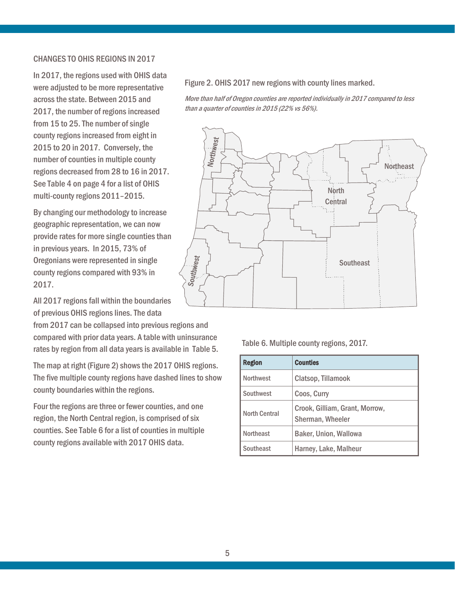### CHANGES TO OHIS REGIONS IN 2017

In 2017, the regions used with OHIS data were adjusted to be more representative across the state. Between 2015 and 2017, the number of regions increased from 15 to 25. The number of single county regions increased from eight in 2015 to 20 in 2017. Conversely, the number of counties in multiple county regions decreased from 28 to 16 in 2017. See Table 4 on page 4 for a list of OHIS multi-county regions 2011–2015.

By changing our methodology to increase geographic representation, we can now provide rates for more single counties than in previous years. In 2015, 73% of Oregonians were represented in single county regions compared with 93% in 2017.

All 2017 regions fall within the boundaries of previous OHIS regions lines. The data

from 2017 can be collapsed into previous regions and compared with prior data years. A table with uninsurance rates by region from all data years is available in Table 5.

The map at right (Figure 2) shows the 2017 OHIS regions. The five multiple county regions have dashed lines to show county boundaries within the regions.

Four the regions are three or fewer counties, and one region, the North Central region, is comprised of six counties. See Table 6 for a list of counties in multiple county regions available with 2017 OHIS data.

#### Figure 2. OHIS 2017 new regions with county lines marked.

More than half of Oregon counties are reported individually in 2017 compared to less than a quarter of counties in 2015 (22% vs 56%).



#### Table 6. Multiple county regions, 2017.

| <b>Region</b>        | <b>Counties</b>                                    |
|----------------------|----------------------------------------------------|
| <b>Northwest</b>     | Clatsop, Tillamook                                 |
| Southwest            | Coos, Curry                                        |
| <b>North Central</b> | Crook, Gilliam, Grant, Morrow,<br>Sherman, Wheeler |
| <b>Northeast</b>     | <b>Baker, Union, Wallowa</b>                       |
| Southeast            | Harney, Lake, Malheur                              |